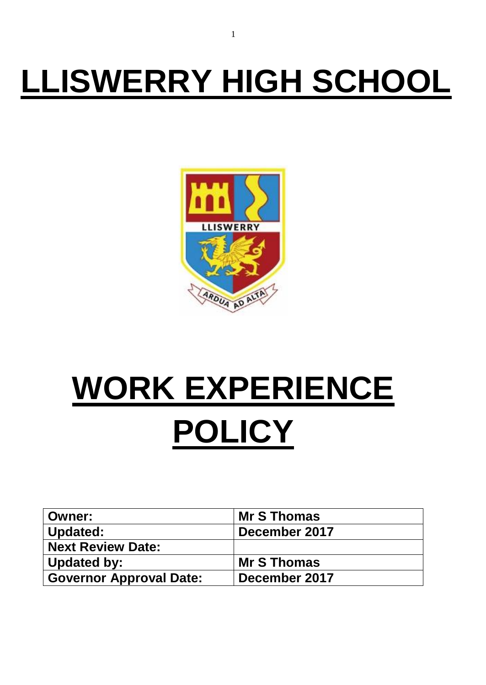## **LLISWERRY HIGH SCHOOL**



# **WORK EXPERIENCE POLICY**

| <b>Owner:</b>                  | <b>Mr S Thomas</b> |
|--------------------------------|--------------------|
| <b>Updated:</b>                | December 2017      |
| <b>Next Review Date:</b>       |                    |
| <b>Updated by:</b>             | <b>Mr S Thomas</b> |
| <b>Governor Approval Date:</b> | December 2017      |

1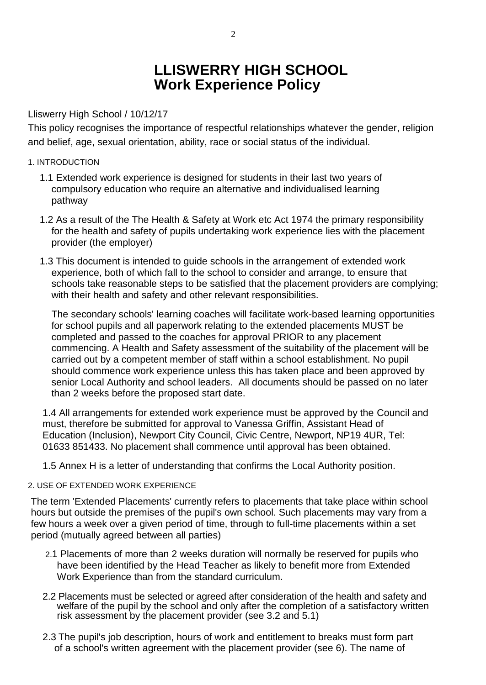## **LLISWERRY HIGH SCHOOL Work Experience Policy**

#### Lliswerry High School / 10/12/17

This policy recognises the importance of respectful relationships whatever the gender, religion and belief, age, sexual orientation, ability, race or social status of the individual.

#### 1. INTRODUCTION

- 1.1 Extended work experience is designed for students in their last two years of compulsory education who require an alternative and individualised learning pathway
- 1.2 As a result of the The Health & Safety at Work etc Act 1974 the primary responsibility for the health and safety of pupils undertaking work experience lies with the placement provider (the employer)
- 1.3 This document is intended to guide schools in the arrangement of extended work experience, both of which fall to the school to consider and arrange, to ensure that schools take reasonable steps to be satisfied that the placement providers are complying; with their health and safety and other relevant responsibilities.

The secondary schools' learning coaches will facilitate work-based learning opportunities for school pupils and all paperwork relating to the extended placements MUST be completed and passed to the coaches for approval PRIOR to any placement commencing. A Health and Safety assessment of the suitability of the placement will be carried out by a competent member of staff within a school establishment. No pupil should commence work experience unless this has taken place and been approved by senior Local Authority and school leaders. All documents should be passed on no later than 2 weeks before the proposed start date.

1.4 All arrangements for extended work experience must be approved by the Council and must, therefore be submitted for approval to Vanessa Griffin, Assistant Head of Education (Inclusion), Newport City Council, Civic Centre, Newport, NP19 4UR, Tel: 01633 851433. No placement shall commence until approval has been obtained.

1.5 Annex H is a letter of understanding that confirms the Local Authority position.

#### 2. USE OF EXTENDED WORK EXPERIENCE

The term 'Extended Placements' currently refers to placements that take place within school hours but outside the premises of the pupil's own school. Such placements may vary from a few hours a week over a given period of time, through to full-time placements within a set period (mutually agreed between all parties)

- 2.1 Placements of more than 2 weeks duration will normally be reserved for pupils who have been identified by the Head Teacher as likely to benefit more from Extended Work Experience than from the standard curriculum.
- 2.2 Placements must be selected or agreed after consideration of the health and safety and welfare of the pupil by the school and only after the completion of a satisfactory written risk assessment by the placement provider (see 3.2 and 5.1)
- 2.3 The pupil's job description, hours of work and entitlement to breaks must form part of a school's written agreement with the placement provider (see 6). The name of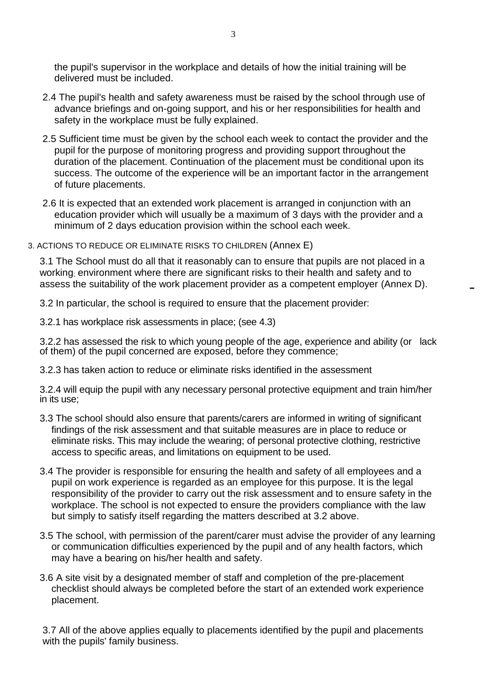the pupil's supervisor in the workplace and details of how the initial training will be delivered must be included.

- 2.4 The pupil's health and safety awareness must be raised by the school through use of advance briefings and on-going support, and his or her responsibilities for health and safety in the workplace must be fully explained.
- 2.5 Sufficient time must be given by the school each week to contact the provider and the pupil for the purpose of monitoring progress and providing support throughout the duration of the placement. Continuation of the placement must be conditional upon its success. The outcome of the experience will be an important factor in the arrangement of future placements.
- 2.6 It is expected that an extended work placement is arranged in conjunction with an education provider which will usually be a maximum of 3 days with the provider and a minimum of 2 days education provision within the school each week.
- 3. ACTIONS TO REDUCE OR ELIMINATE RISKS TO CHILDREN (Annex E)

3.1 The School must do all that it reasonably can to ensure that pupils are not placed in a working; environment where there are significant risks to their health and safety and to assess the suitability of the work placement provider as a competent employer (Annex D).

-

3.2 In particular, the school is required to ensure that the placement provider:

3.2.1 has workplace risk assessments in place; (see 4.3)

3.2.2 has assessed the risk to which young people of the age, experience and ability (or lack of them) of the pupil concerned are exposed, before they commence;

3.2.3 has taken action to reduce or eliminate risks identified in the assessment

3.2.4 will equip the pupil with any necessary personal protective equipment and train him/her in its use;

- 3.3 The school should also ensure that parents/carers are informed in writing of significant findings of the risk assessment and that suitable measures are in place to reduce or eliminate risks. This may include the wearing; of personal protective clothing, restrictive access to specific areas, and limitations on equipment to be used.
- 3.4 The provider is responsible for ensuring the health and safety of all employees and a pupil on work experience is regarded as an employee for this purpose. It is the legal responsibility of the provider to carry out the risk assessment and to ensure safety in the workplace. The school is not expected to ensure the providers compliance with the law but simply to satisfy itself regarding the matters described at 3.2 above.
- 3.5 The school, with permission of the parent/carer must advise the provider of any learning or communication difficulties experienced by the pupil and of any health factors, which may have a bearing on his/her health and safety.
- 3.6 A site visit by a designated member of staff and completion of the pre-placement checklist should always be completed before the start of an extended work experience placement.

3.7 All of the above applies equally to placements identified by the pupil and placements with the pupils' family business.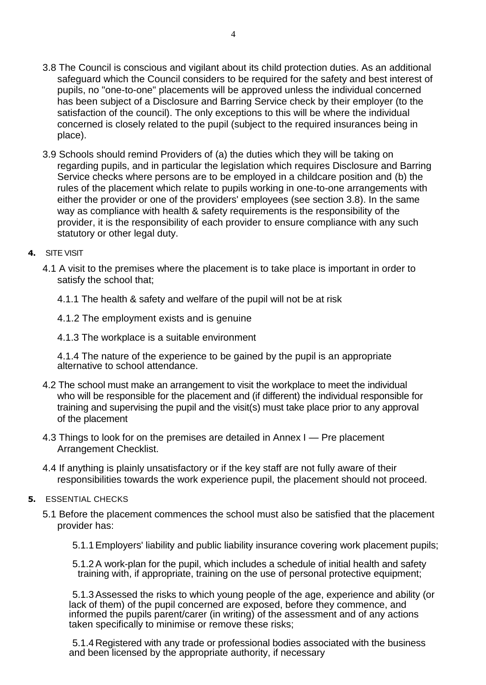- 3.8 The Council is conscious and vigilant about its child protection duties. As an additional safeguard which the Council considers to be required for the safety and best interest of pupils, no "one-to-one" placements will be approved unless the individual concerned has been subject of a Disclosure and Barring Service check by their employer (to the satisfaction of the council). The only exceptions to this will be where the individual concerned is closely related to the pupil (subject to the required insurances being in place).
- 3.9 Schools should remind Providers of (a) the duties which they will be taking on regarding pupils, and in particular the legislation which requires Disclosure and Barring Service checks where persons are to be employed in a childcare position and (b) the rules of the placement which relate to pupils working in one-to-one arrangements with either the provider or one of the providers' employees (see section 3.8). In the same way as compliance with health & safety requirements is the responsibility of the provider, it is the responsibility of each provider to ensure compliance with any such statutory or other legal duty.
- **4.** SITE VISIT
	- 4.1 A visit to the premises where the placement is to take place is important in order to satisfy the school that;
		- 4.1.1 The health & safety and welfare of the pupil will not be at risk
		- 4.1.2 The employment exists and is genuine
		- 4.1.3 The workplace is a suitable environment

4.1.4 The nature of the experience to be gained by the pupil is an appropriate alternative to school attendance.

- 4.2 The school must make an arrangement to visit the workplace to meet the individual who will be responsible for the placement and (if different) the individual responsible for training and supervising the pupil and the visit(s) must take place prior to any approval of the placement
- 4.3 Things to look for on the premises are detailed in Annex I Pre placement Arrangement Checklist.
- 4.4 If anything is plainly unsatisfactory or if the key staff are not fully aware of their responsibilities towards the work experience pupil, the placement should not proceed.
- **5.** ESSENTIAL CHECKS
	- 5.1 Before the placement commences the school must also be satisfied that the placement provider has:
		- 5.1.1Employers' liability and public liability insurance covering work placement pupils;
		- 5.1.2A work-plan for the pupil, which includes a schedule of initial health and safety training with, if appropriate, training on the use of personal protective equipment;

5.1.3Assessed the risks to which young people of the age, experience and ability (or lack of them) of the pupil concerned are exposed, before they commence, and informed the pupils parent/carer (in writing) of the assessment and of any actions taken specifically to minimise or remove these risks;

5.1.4 Registered with any trade or professional bodies associated with the business and been licensed by the appropriate authority, if necessary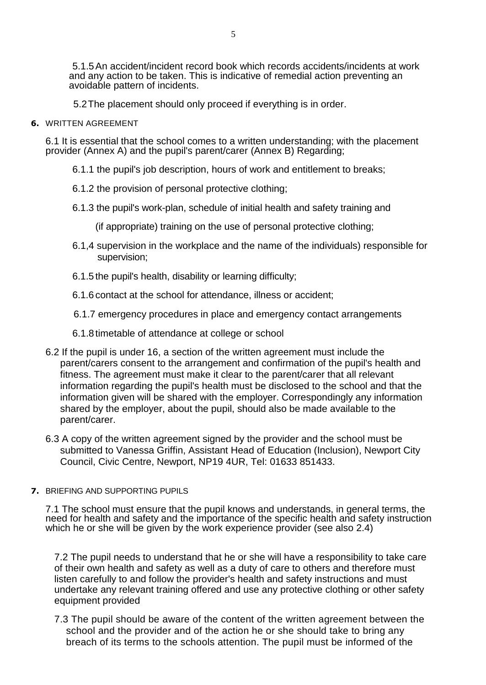5.1.5An accident/incident record book which records accidents/incidents at work and any action to be taken. This is indicative of remedial action preventing an avoidable pattern of incidents.

5.2The placement should only proceed if everything is in order.

**6.** WRITTEN AGREEMENT

6.1 It is essential that the school comes to a written understanding; with the placement provider (Annex A) and the pupil's parent/carer (Annex B) Regarding;

- 6.1.1 the pupil's job description, hours of work and entitlement to breaks;
- 6.1.2 the provision of personal protective clothing;
- 6.1.3 the pupil's work-plan, schedule of initial health and safety training and

(if appropriate) training on the use of personal protective clothing;

- 6.1,4 supervision in the workplace and the name of the individuals) responsible for supervision;
- 6.1.5 the pupil's health, disability or learning difficulty;
- 6.1.6 contact at the school for attendance, illness or accident;

6.1.7 emergency procedures in place and emergency contact arrangements

- 6.1.8timetable of attendance at college or school
- 6.2 If the pupil is under 16, a section of the written agreement must include the parent/carers consent to the arrangement and confirmation of the pupil's health and fitness. The agreement must make it clear to the parent/carer that all relevant information regarding the pupil's health must be disclosed to the school and that the information given will be shared with the employer. Correspondingly any information shared by the employer, about the pupil, should also be made available to the parent/carer.
- 6.3 A copy of the written agreement signed by the provider and the school must be submitted to Vanessa Griffin, Assistant Head of Education (Inclusion), Newport City Council, Civic Centre, Newport, NP19 4UR, Tel: 01633 851433.
- **7.** BRIEFING AND SUPPORTING PUPILS

7.1 The school must ensure that the pupil knows and understands, in general terms, the need for health and safety and the importance of the specific health and safety instruction which he or she will be given by the work experience provider (see also 2.4)

7.2 The pupil needs to understand that he or she will have a responsibility to take care of their own health and safety as well as a duty of care to others and therefore must listen carefully to and follow the provider's health and safety instructions and must undertake any relevant training offered and use any protective clothing or other safety equipment provided

7.3 The pupil should be aware of the content of the written agreement between the school and the provider and of the action he or she should take to bring any breach of its terms to the schools attention. The pupil must be informed of the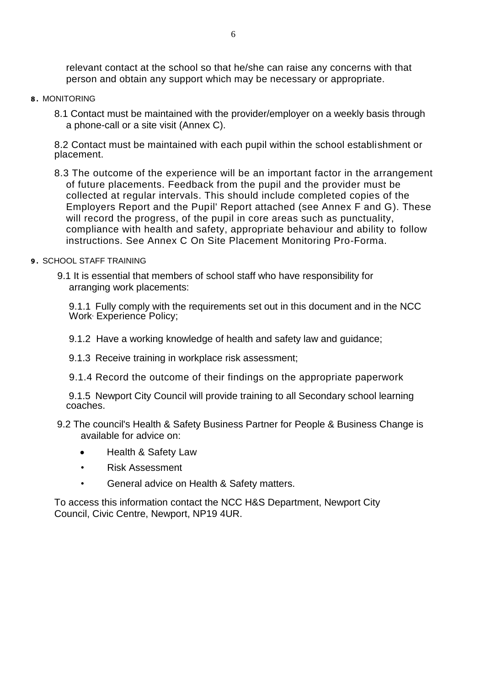relevant contact at the school so that he/she can raise any concerns with that person and obtain any support which may be necessary or appropriate.

#### **8 .** MONITORING

8.1 Contact must be maintained with the provider/employer on a weekly basis through a phone-call or a site visit (Annex C).

8.2 Contact must be maintained with each pupil within the school establishment or placement.

8.3 The outcome of the experience will be an important factor in the arrangement of future placements. Feedback from the pupil and the provider must be collected at regular intervals. This should include completed copies of the Employers Report and the Pupil' Report attached (see Annex F and G). These will record the progress, of the pupil in core areas such as punctuality, compliance with health and safety, appropriate behaviour and ability to follow instructions. See Annex C On Site Placement Monitoring Pro-Forma.

#### **9 .** SCHOOL STAFF TRAINING

9.1 It is essential that members of school staff who have responsibility for arranging work placements:

9.1.1 Fully comply with the requirements set out in this document and in the NCC Work, Experience Policy;

- 9.1.2 Have a working knowledge of health and safety law and guidance;
- 9.1.3 Receive training in workplace risk assessment;
- 9.1.4 Record the outcome of their findings on the appropriate paperwork

9.1.5 Newport City Council will provide training to all Secondary school learning coaches.

- 9.2 The council's Health & Safety Business Partner for People & Business Change is available for advice on:
	- Health & Safety Law
	- Risk Assessment
	- General advice on Health & Safety matters.

To access this information contact the NCC H&S Department, Newport City Council, Civic Centre, Newport, NP19 4UR.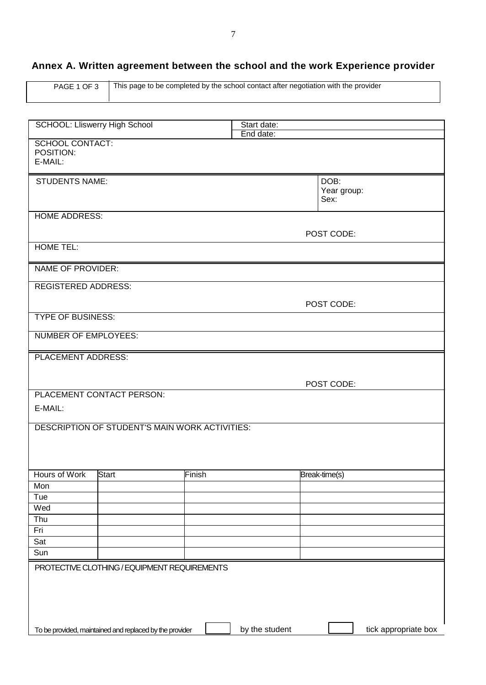## **Annex A. Written agreement between the school and the work Experience provider**

| PAGE 1 OF 3 | This page to be completed by the school contact after negotiation with the provider |
|-------------|-------------------------------------------------------------------------------------|
|             |                                                                                     |

|                                                         | Start date:    |                             |
|---------------------------------------------------------|----------------|-----------------------------|
| <b>SCHOOL: Lliswerry High School</b>                    | End date:      |                             |
| <b>SCHOOL CONTACT:</b><br>POSITION:<br>E-MAIL:          |                |                             |
| <b>STUDENTS NAME:</b>                                   |                | DOB:<br>Year group:<br>Sex: |
| <b>HOME ADDRESS:</b>                                    |                |                             |
|                                                         |                | POST CODE:                  |
| <b>HOME TEL:</b>                                        |                |                             |
| NAME OF PROVIDER:                                       |                |                             |
| <b>REGISTERED ADDRESS:</b>                              |                |                             |
|                                                         |                | POST CODE:                  |
| <b>TYPE OF BUSINESS:</b>                                |                |                             |
| <b>NUMBER OF EMPLOYEES:</b>                             |                |                             |
| <b>PLACEMENT ADDRESS:</b>                               |                |                             |
|                                                         |                |                             |
|                                                         |                | POST CODE:                  |
| PLACEMENT CONTACT PERSON:                               |                |                             |
| E-MAIL:                                                 |                |                             |
| DESCRIPTION OF STUDENT'S MAIN WORK ACTIVITIES:          |                |                             |
|                                                         |                |                             |
|                                                         |                |                             |
| Hours of Work<br><b>Start</b><br>Finish                 |                | Break-time(s)               |
| Mon                                                     |                |                             |
| Tue                                                     |                |                             |
| Wed                                                     |                |                             |
| Thu                                                     |                |                             |
| Fri<br>Sat                                              |                |                             |
| Sun                                                     |                |                             |
|                                                         |                |                             |
| PROTECTIVE CLOTHING / EQUIPMENT REQUIREMENTS            |                |                             |
|                                                         |                |                             |
|                                                         |                |                             |
| To be provided, maintained and replaced by the provider | by the student | tick appropriate box        |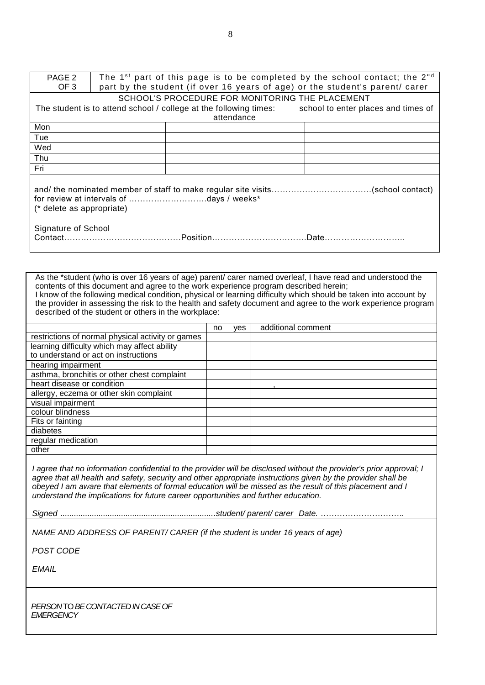| PAGE 2                    | The 1 <sup>st</sup> part of this page is to be completed by the school contact; the $2nd$ |                                                 |  |                                                                                                       |  |
|---------------------------|-------------------------------------------------------------------------------------------|-------------------------------------------------|--|-------------------------------------------------------------------------------------------------------|--|
| OF <sub>3</sub>           | part by the student (if over 16 years of age) or the student's parent/ carer              |                                                 |  |                                                                                                       |  |
|                           |                                                                                           | SCHOOL'S PROCEDURE FOR MONITORING THE PLACEMENT |  |                                                                                                       |  |
|                           |                                                                                           |                                                 |  | The student is to attend school / college at the following times: school to enter places and times of |  |
|                           |                                                                                           | attendance                                      |  |                                                                                                       |  |
| Mon                       |                                                                                           |                                                 |  |                                                                                                       |  |
| Tue                       |                                                                                           |                                                 |  |                                                                                                       |  |
| Wed                       |                                                                                           |                                                 |  |                                                                                                       |  |
| Thu                       |                                                                                           |                                                 |  |                                                                                                       |  |
| Fri                       |                                                                                           |                                                 |  |                                                                                                       |  |
|                           |                                                                                           |                                                 |  |                                                                                                       |  |
| (* delete as appropriate) |                                                                                           |                                                 |  |                                                                                                       |  |
| Signature of School       |                                                                                           |                                                 |  |                                                                                                       |  |

As the \*student (who is over 16 years of age) parent/ carer named overleaf, I have read and understood the contents of this document and agree to the work experience program described herein; I know of the following medical condition, physical or learning difficulty which should be taken into account by the provider in assessing the risk to the health and safety document and agree to the work experience program described of the student or others in the workplace:

|                                                   | no | ves | additional comment |
|---------------------------------------------------|----|-----|--------------------|
| restrictions of normal physical activity or games |    |     |                    |
| learning difficulty which may affect ability      |    |     |                    |
| to understand or act on instructions              |    |     |                    |
| hearing impairment                                |    |     |                    |
| asthma, bronchitis or other chest complaint       |    |     |                    |
| heart disease or condition                        |    |     |                    |
| allergy, eczema or other skin complaint           |    |     |                    |
| visual impairment                                 |    |     |                    |
| colour blindness                                  |    |     |                    |
| Fits or fainting                                  |    |     |                    |
| diabetes                                          |    |     |                    |
| regular medication                                |    |     |                    |
| other                                             |    |     |                    |

*I agree that no information confidential to the provider will be disclosed without the provider's prior approval; I agree that all health and safety, security and other appropriate instructions given by the provider shall be obeyed I am aware that elements of formal education will be missed as the result of this placement and I understand the implications for future career opportunities and further education.*

*Signed .....................................................................student/ parent/ carer Date. ………………………….*

*NAME AND ADDRESS OF PARENT/ CARER (if the student is under 16 years of age)*

*POST CODE*

*EMAIL*

*PERSON* TO *BE CONTACTED IN CASE OF EMERGENCY*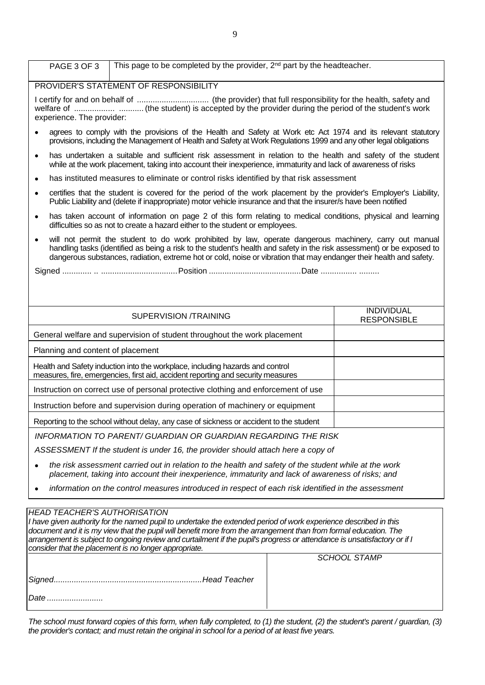| This page to be completed by the provider, $2^{nd}$ part by the headteacher.<br>PAGE 3 OF 3                                                                                                                                                                                                                                                                           |                                         |  |  |  |
|-----------------------------------------------------------------------------------------------------------------------------------------------------------------------------------------------------------------------------------------------------------------------------------------------------------------------------------------------------------------------|-----------------------------------------|--|--|--|
| PROVIDER'S STATEMENT OF RESPONSIBILITY                                                                                                                                                                                                                                                                                                                                |                                         |  |  |  |
| welfare of   (the student) is accepted by the provider during the period of the student's work<br>experience. The provider:                                                                                                                                                                                                                                           |                                         |  |  |  |
| agrees to comply with the provisions of the Health and Safety at Work etc Act 1974 and its relevant statutory<br>$\bullet$<br>provisions, including the Management of Health and Safety at Work Regulations 1999 and any other legal obligations                                                                                                                      |                                         |  |  |  |
| has undertaken a suitable and sufficient risk assessment in relation to the health and safety of the student<br>$\bullet$<br>while at the work placement, taking into account their inexperience, immaturity and lack of awareness of risks                                                                                                                           |                                         |  |  |  |
| has instituted measures to eliminate or control risks identified by that risk assessment<br>$\bullet$                                                                                                                                                                                                                                                                 |                                         |  |  |  |
| certifies that the student is covered for the period of the work placement by the provider's Employer's Liability,<br>$\bullet$<br>Public Liability and (delete if inappropriate) motor vehicle insurance and that the insurer/s have been notified                                                                                                                   |                                         |  |  |  |
| has taken account of information on page 2 of this form relating to medical conditions, physical and learning<br>$\bullet$<br>difficulties so as not to create a hazard either to the student or employees.                                                                                                                                                           |                                         |  |  |  |
| will not permit the student to do work prohibited by law, operate dangerous machinery, carry out manual<br>$\bullet$<br>handling tasks (identified as being a risk to the student's health and safety in the risk assessment) or be exposed to<br>dangerous substances, radiation, extreme hot or cold, noise or vibration that may endanger their health and safety. |                                         |  |  |  |
|                                                                                                                                                                                                                                                                                                                                                                       |                                         |  |  |  |
|                                                                                                                                                                                                                                                                                                                                                                       |                                         |  |  |  |
|                                                                                                                                                                                                                                                                                                                                                                       |                                         |  |  |  |
| <b>SUPERVISION /TRAINING</b>                                                                                                                                                                                                                                                                                                                                          | <b>INDIVIDUAL</b><br><b>RESPONSIBLE</b> |  |  |  |
| General welfare and supervision of student throughout the work placement                                                                                                                                                                                                                                                                                              |                                         |  |  |  |
| Planning and content of placement                                                                                                                                                                                                                                                                                                                                     |                                         |  |  |  |
| Health and Safety induction into the workplace, including hazards and control<br>measures, fire, emergencies, first aid, accident reporting and security measures                                                                                                                                                                                                     |                                         |  |  |  |
| Instruction on correct use of personal protective clothing and enforcement of use                                                                                                                                                                                                                                                                                     |                                         |  |  |  |
| Instruction before and supervision during operation of machinery or equipment                                                                                                                                                                                                                                                                                         |                                         |  |  |  |
| Reporting to the school without delay, any case of sickness or accident to the student                                                                                                                                                                                                                                                                                |                                         |  |  |  |
| <b>INFORMATION TO PARENT/ GUARDIAN OR GUARDIAN REGARDING THE RISK</b>                                                                                                                                                                                                                                                                                                 |                                         |  |  |  |
| ASSESSMENT If the student is under 16, the provider should attach here a copy of                                                                                                                                                                                                                                                                                      |                                         |  |  |  |
| the risk assessment carried out in relation to the health and safety of the student while at the work<br>placement, taking into account their inexperience, immaturity and lack of awareness of risks; and                                                                                                                                                            |                                         |  |  |  |
| information on the control measures introduced in respect of each risk identified in the assessment                                                                                                                                                                                                                                                                   |                                         |  |  |  |

| <b>HEAD TEACHER'S AUTHORISATION</b><br>I have given authority for the named pupil to undertake the extended period of work experience described in this<br>document and it is my view that the pupil will benefit more from the arrangement than from formal education. The<br>arrangement is subject to ongoing review and curtailment if the pupil's progress or attendance is unsatisfactory or if I<br>consider that the placement is no longer appropriate. |                     |  |  |  |
|------------------------------------------------------------------------------------------------------------------------------------------------------------------------------------------------------------------------------------------------------------------------------------------------------------------------------------------------------------------------------------------------------------------------------------------------------------------|---------------------|--|--|--|
|                                                                                                                                                                                                                                                                                                                                                                                                                                                                  | <b>SCHOOL STAMP</b> |  |  |  |
|                                                                                                                                                                                                                                                                                                                                                                                                                                                                  |                     |  |  |  |
| Date                                                                                                                                                                                                                                                                                                                                                                                                                                                             |                     |  |  |  |

*The school must forward copies of this form, when fully completed, to (1) the student, (2) the student's parent / guardian, (3) the provider's contact; and must retain the original in school for a period of at least five years.*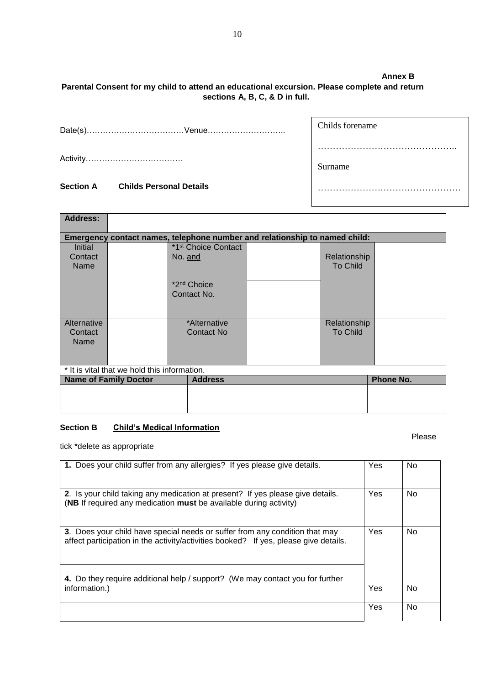### **Parental Consent for my child to attend an educational excursion. Please complete and return sections A, B, C, & D in full.**

Date(s)………………………………Venue………………………..

Activity………………………………

#### **Section A Childs Personal Details**

| <b>Address:</b>                              |                              |                                                                            |  |                 |                  |
|----------------------------------------------|------------------------------|----------------------------------------------------------------------------|--|-----------------|------------------|
|                                              |                              |                                                                            |  |                 |                  |
|                                              |                              | Emergency contact names, telephone number and relationship to named child: |  |                 |                  |
| Initial                                      |                              | *1 <sup>st</sup> Choice Contact                                            |  |                 |                  |
| Contact                                      |                              | No. and                                                                    |  | Relationship    |                  |
| Name                                         |                              |                                                                            |  | <b>To Child</b> |                  |
|                                              |                              |                                                                            |  |                 |                  |
|                                              |                              | *2 <sup>nd</sup> Choice                                                    |  |                 |                  |
|                                              |                              | Contact No.                                                                |  |                 |                  |
|                                              |                              |                                                                            |  |                 |                  |
|                                              |                              |                                                                            |  |                 |                  |
| Alternative                                  |                              | *Alternative                                                               |  | Relationship    |                  |
| Contact                                      |                              | <b>Contact No</b>                                                          |  | <b>To Child</b> |                  |
| Name                                         |                              |                                                                            |  |                 |                  |
|                                              |                              |                                                                            |  |                 |                  |
|                                              |                              |                                                                            |  |                 |                  |
| * It is vital that we hold this information. |                              |                                                                            |  |                 |                  |
|                                              | <b>Name of Family Doctor</b> | <b>Address</b>                                                             |  |                 | <b>Phone No.</b> |
|                                              |                              |                                                                            |  |                 |                  |
|                                              |                              |                                                                            |  |                 |                  |
|                                              |                              |                                                                            |  |                 |                  |

#### **Section B Child's Medical Information**

the contract of the contract of the contract of the contract of the contract of the contract of the contract of the contract of the contract of the contract of the contract of the contract of the contract of the contract o

tick \*delete as appropriate

| 1. Does your child suffer from any allergies? If yes please give details.                                                                                           | Yes | No |
|---------------------------------------------------------------------------------------------------------------------------------------------------------------------|-----|----|
| <b>2.</b> Is your child taking any medication at present? If yes please give details.<br>(NB If required any medication must be available during activity)          | Yes | No |
| 3. Does your child have special needs or suffer from any condition that may<br>affect participation in the activity/activities booked? If yes, please give details. | Yes | No |
| 4. Do they require additional help / support? (We may contact you for further<br>information.)                                                                      | Yes | No |
|                                                                                                                                                                     | Yes | No |

**Annex B**

………………………………………..

…………………………………………………

Childs forename

Surname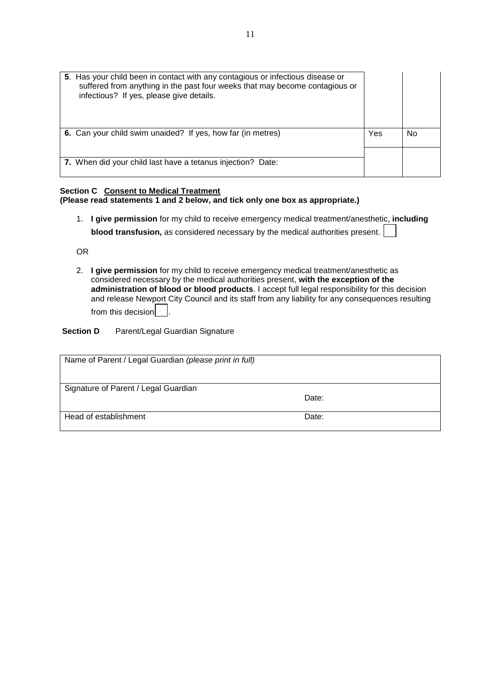| 5. Has your child been in contact with any contagious or infectious disease or<br>suffered from anything in the past four weeks that may become contagious or<br>infectious? If yes, please give details. |     |    |
|-----------------------------------------------------------------------------------------------------------------------------------------------------------------------------------------------------------|-----|----|
| 6. Can your child swim unaided? If yes, how far (in metres)                                                                                                                                               | Yes | No |
| 7. When did your child last have a tetanus injection? Date:                                                                                                                                               |     |    |

#### **Section C Consent to Medical Treatment (Please read statements 1 and 2 below, and tick only one box as appropriate.)**

1. **I give permission** for my child to receive emergency medical treatment/anesthetic, **including blood transfusion,** as considered necessary by the medical authorities present.

OR

2. **I give permission** for my child to receive emergency medical treatment/anesthetic as considered necessary by the medical authorities present, **with the exception of the administration of blood or blood products**. I accept full legal responsibility for this decision and release Newport City Council and its staff from any liability for any consequences resulting from this decision

**Section D** Parent/Legal Guardian Signature

| Name of Parent / Legal Guardian (please print in full) |       |
|--------------------------------------------------------|-------|
| Signature of Parent / Legal Guardian                   | Date: |
| Head of establishment                                  | Date: |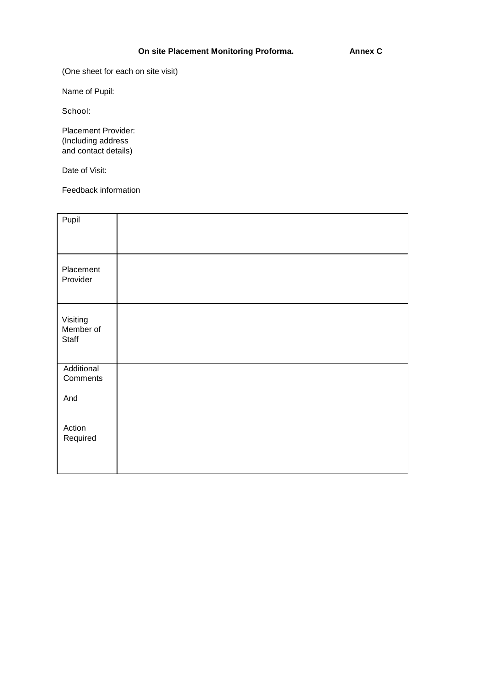(One sheet for each on site visit)

Name of Pupil:

School:

Placement Provider: (Including address and contact details)

Date of Visit:

Feedback information

| Pupil                          |  |  |
|--------------------------------|--|--|
| Placement<br>Provider          |  |  |
| Visiting<br>Member of<br>Staff |  |  |
| Additional<br>Comments         |  |  |
| And                            |  |  |
| Action<br>Required             |  |  |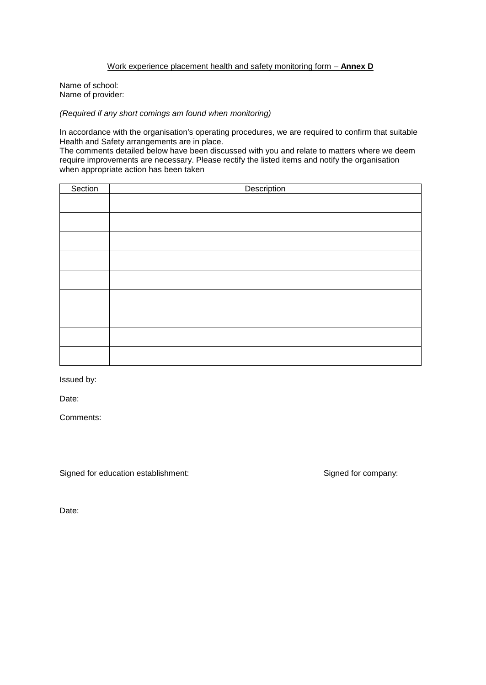#### Work experience placement health and safety monitoring form – **Annex D**

Name of school: Name of provider:

*(Required if any short comings am found when monitoring)*

In accordance with the organisation's operating procedures, we are required to confirm that suitable Health and Safety arrangements are in place.

The comments detailed below have been discussed with you and relate to matters where we deem require improvements are necessary. Please rectify the listed items and notify the organisation when appropriate action has been taken

| Section | Description |
|---------|-------------|
|         |             |
|         |             |
|         |             |
|         |             |
|         |             |
|         |             |
|         |             |
|         |             |
|         |             |
|         |             |

Issued by:

Date:

Comments:

Signed for education establishment: Signed for company: Signed for company:

Date: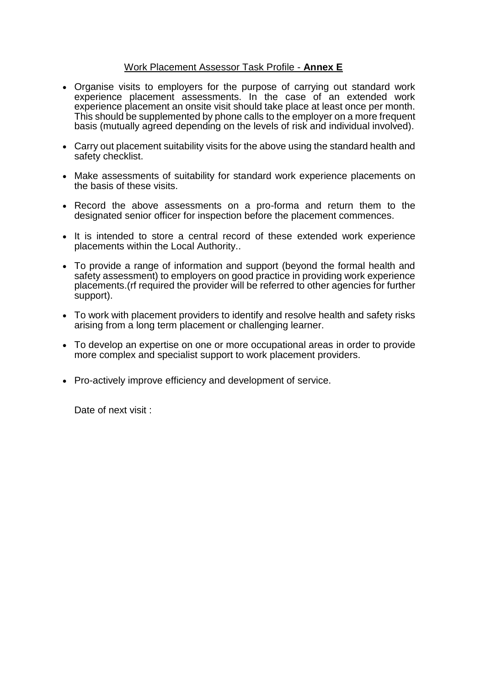#### Work Placement Assessor Task Profile - **Annex E**

- Organise visits to employers for the purpose of carrying out standard work experience placement assessments. In the case of an extended work experience placement an onsite visit should take place at least once per month. This should be supplemented by phone calls to the employer on a more frequent basis (mutually agreed depending on the levels of risk and individual involved).
- Carry out placement suitability visits for the above using the standard health and safety checklist.
- Make assessments of suitability for standard work experience placements on the basis of these visits.
- Record the above assessments on a pro-forma and return them to the designated senior officer for inspection before the placement commences.
- It is intended to store a central record of these extended work experience placements within the Local Authority..
- To provide a range of information and support (beyond the formal health and safety assessment) to employers on good practice in providing work experience placements.(rf required the provider will be referred to other agencies for further support).
- To work with placement providers to identify and resolve health and safety risks arising from a long term placement or challenging learner.
- To develop an expertise on one or more occupational areas in order to provide more complex and specialist support to work placement providers.
- Pro-actively improve efficiency and development of service.

Date of next visit :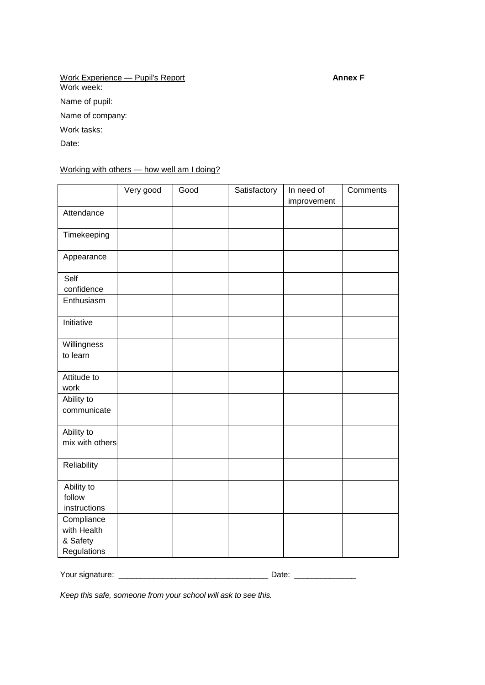Work Experience — Pupil's Report **Annex F** Work week: Name of pupil: Name of company: Work tasks:

Date:

Working with others - how well am I doing?

|                                                      | Very good | Good | Satisfactory | In need of<br>improvement | Comments |
|------------------------------------------------------|-----------|------|--------------|---------------------------|----------|
| Attendance                                           |           |      |              |                           |          |
| Timekeeping                                          |           |      |              |                           |          |
| Appearance                                           |           |      |              |                           |          |
| Self<br>confidence                                   |           |      |              |                           |          |
| Enthusiasm                                           |           |      |              |                           |          |
| Initiative                                           |           |      |              |                           |          |
| Willingness<br>to learn                              |           |      |              |                           |          |
| Attitude to<br>work                                  |           |      |              |                           |          |
| Ability to<br>communicate                            |           |      |              |                           |          |
| Ability to<br>mix with others                        |           |      |              |                           |          |
| Reliability                                          |           |      |              |                           |          |
| Ability to<br>follow<br>instructions                 |           |      |              |                           |          |
| Compliance<br>with Health<br>& Safety<br>Regulations |           |      |              |                           |          |

Your signature: \_\_\_\_\_\_\_\_\_\_\_\_\_\_\_\_\_\_\_\_\_\_\_\_\_\_\_\_\_\_\_\_\_\_ Date: \_\_\_\_\_\_\_\_\_\_\_\_\_\_

*Keep this safe, someone from your school will ask to see this.*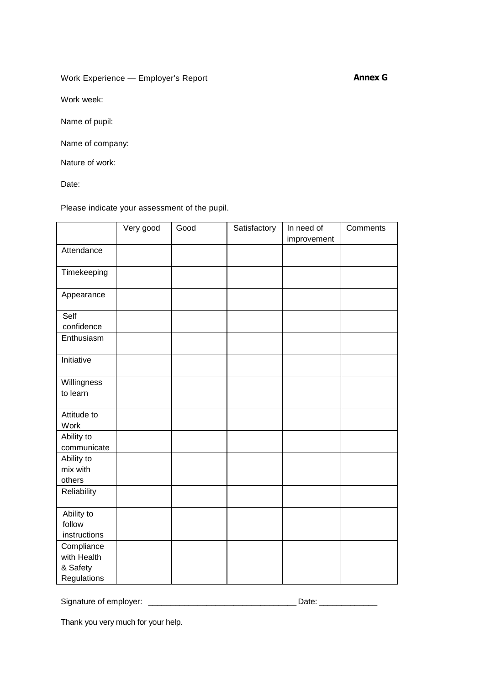#### Work Experience — Employer's Report

**Annex G**

Work week:

Name of pupil:

Name of company:

Nature of work:

Date:

Please indicate your assessment of the pupil.

|                                                      | Very good | Good | Satisfactory | In need of<br>improvement | Comments |
|------------------------------------------------------|-----------|------|--------------|---------------------------|----------|
| Attendance                                           |           |      |              |                           |          |
| Timekeeping                                          |           |      |              |                           |          |
| Appearance                                           |           |      |              |                           |          |
| Self<br>confidence                                   |           |      |              |                           |          |
| Enthusiasm                                           |           |      |              |                           |          |
| Initiative                                           |           |      |              |                           |          |
| Willingness<br>to learn                              |           |      |              |                           |          |
| Attitude to<br>Work                                  |           |      |              |                           |          |
| Ability to<br>communicate                            |           |      |              |                           |          |
| Ability to<br>mix with<br>others                     |           |      |              |                           |          |
| Reliability                                          |           |      |              |                           |          |
| Ability to<br>follow<br>instructions                 |           |      |              |                           |          |
| Compliance<br>with Health<br>& Safety<br>Regulations |           |      |              |                           |          |

Signature of employer: \_\_\_\_\_\_\_\_\_\_\_\_\_\_\_\_\_\_\_\_\_\_\_\_\_\_\_\_\_\_\_\_\_ Date: \_\_\_\_\_\_\_\_\_\_\_\_\_

Thank you very much for your help.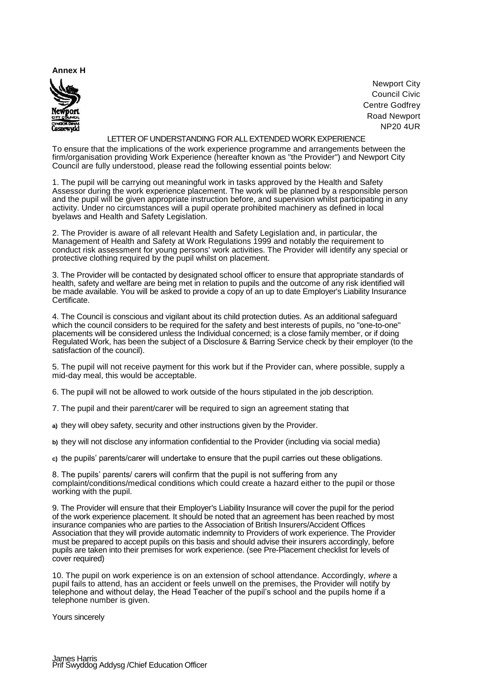#### **Annex H**



Newport City Council Civic Centre Godfrey Road Newport NP20 4UR

#### LETTER OF UNDERSTANDING FOR ALL EXTENDED WORK EXPERIENCE

To ensure that the implications of the work experience programme and arrangements between the firm/organisation providing Work Experience (hereafter known as "the Provider") and Newport City Council are fully understood, please read the following essential points below:

1. The pupil will be carrying out meaningful work in tasks approved by the Health and Safety Assessor during the work experience placement. The work will be planned by a responsible person and the pupil will be given appropriate instruction before, and supervision whilst participating in any activity. Under no circumstances will a pupil operate prohibited machinery as defined in local byelaws and Health and Safety Legislation.

2. The Provider is aware of all relevant Health and Safety Legislation and, in particular, the Management of Health and Safety at Work Regulations 1999 and notably the requirement to conduct risk assessment for young persons' work activities. The Provider will identify any special or protective clothing required by the pupil whilst on placement.

3. The Provider will be contacted by designated school officer to ensure that appropriate standards of health, safety and welfare are being met in relation to pupils and the outcome of any risk identified will be made available. You will be asked to provide a copy of an up to date Employer's Liability Insurance Certificate.

4. The Council is conscious and vigilant about its child protection duties. As an additional safeguard which the council considers to be required for the safety and best interests of pupils, no "one-to-one" placements will be considered unless the Individual concerned; is a close family member, or if doing Regulated Work, has been the subject of a Disclosure & Barring Service check by their employer (to the satisfaction of the council).

5. The pupil will not receive payment for this work but if the Provider can, where possible, supply a mid-day meal, this would be acceptable.

6. The pupil will not be allowed to work outside of the hours stipulated in the job description.

7. The pupil and their parent/carer will be required to sign an agreement stating that

**a)** they will obey safety, security and other instructions given by the Provider.

**b)** they will not disclose any information confidential to the Provider (including via social media)

**c)** the pupils' parents/carer will undertake to ensure that the pupil carries out these obligations.

8. The pupils' parents/ carers will confirm that the pupil is not suffering from any complaint/conditions/medical conditions which could create a hazard either to the pupil or those working with the pupil.

9. The Provider will ensure that their Employer's Liability Insurance will cover the pupil for the period of the work experience placement. It should be noted that an agreement has been reached by most insurance companies who are parties to the Association of British Insurers/Accident Offices Association that they will provide automatic indemnity to Providers of work experience. The Provider must be prepared to accept pupils on this basis and should advise their insurers accordingly, before pupils are taken into their premises for work experience. (see Pre-Placement checklist for levels of cover required)

10. The pupil on work experience is on an extension of school attendance. Accordingly, *where* a pupil fails to attend, has an accident or feels unwell on the premises, the Provider will notify by telephone and without delay, the Head Teacher of the pupil's school and the pupils home if a telephone number is given.

Yours sincerely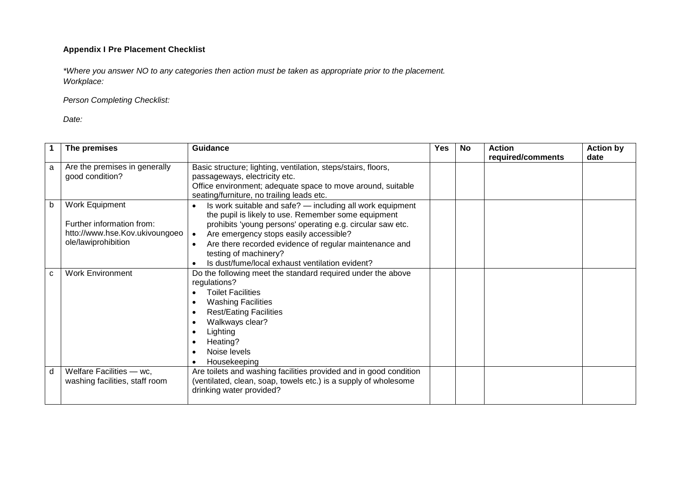#### **Appendix I Pre Placement Checklist**

*\*Where you answer NO to any categories then action must be taken as appropriate prior to the placement. Workplace:*

*Person Completing Checklist:*

*Date:*

|   | The premises                                                                                         | Guidance                                                                                                                                                                                                                                                                                                                                                       | <b>Yes</b> | <b>No</b> | <b>Action</b><br>required/comments | <b>Action by</b><br>date |
|---|------------------------------------------------------------------------------------------------------|----------------------------------------------------------------------------------------------------------------------------------------------------------------------------------------------------------------------------------------------------------------------------------------------------------------------------------------------------------------|------------|-----------|------------------------------------|--------------------------|
| a | Are the premises in generally<br>good condition?                                                     | Basic structure; lighting, ventilation, steps/stairs, floors,<br>passageways, electricity etc.<br>Office environment; adequate space to move around, suitable<br>seating/furniture, no trailing leads etc.                                                                                                                                                     |            |           |                                    |                          |
| b | Work Equipment<br>Further information from:<br>htto://www.hse.Kov.ukivoungoeo<br>ole/lawiprohibition | Is work suitable and safe? - including all work equipment<br>the pupil is likely to use. Remember some equipment<br>prohibits 'young persons' operating e.g. circular saw etc.<br>Are emergency stops easily accessible?<br>Are there recorded evidence of regular maintenance and<br>testing of machinery?<br>Is dust/fume/local exhaust ventilation evident? |            |           |                                    |                          |
| C | <b>Work Environment</b>                                                                              | Do the following meet the standard required under the above<br>regulations?<br><b>Toilet Facilities</b><br><b>Washing Facilities</b><br><b>Rest/Eating Facilities</b><br>Walkways clear?<br>Lighting<br>Heating?<br>Noise levels<br>Housekeeping                                                                                                               |            |           |                                    |                          |
| d | Welfare Facilities - wc,<br>washing facilities, staff room                                           | Are toilets and washing facilities provided and in good condition<br>(ventilated, clean, soap, towels etc.) is a supply of wholesome<br>drinking water provided?                                                                                                                                                                                               |            |           |                                    |                          |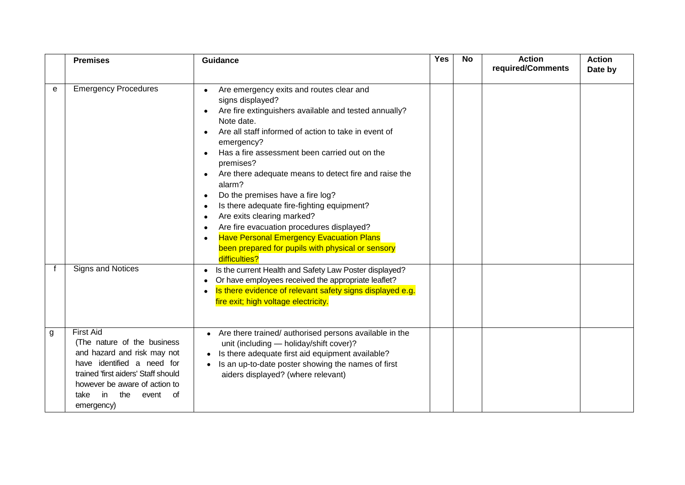|   | <b>Premises</b>                                                                                                                                                                                                                         | <b>Guidance</b>                                                                                                                                                                                                                                                                                                                                                                                                                                                                                                                                                                                                                                                                                                | <b>Yes</b> | <b>No</b> | <b>Action</b><br>required/Comments | <b>Action</b><br>Date by |
|---|-----------------------------------------------------------------------------------------------------------------------------------------------------------------------------------------------------------------------------------------|----------------------------------------------------------------------------------------------------------------------------------------------------------------------------------------------------------------------------------------------------------------------------------------------------------------------------------------------------------------------------------------------------------------------------------------------------------------------------------------------------------------------------------------------------------------------------------------------------------------------------------------------------------------------------------------------------------------|------------|-----------|------------------------------------|--------------------------|
| e | <b>Emergency Procedures</b>                                                                                                                                                                                                             | Are emergency exits and routes clear and<br>$\bullet$<br>signs displayed?<br>Are fire extinguishers available and tested annually?<br>Note date.<br>Are all staff informed of action to take in event of<br>$\bullet$<br>emergency?<br>Has a fire assessment been carried out on the<br>premises?<br>Are there adequate means to detect fire and raise the<br>$\bullet$<br>alarm?<br>Do the premises have a fire log?<br>$\bullet$<br>Is there adequate fire-fighting equipment?<br>Are exits clearing marked?<br>Are fire evacuation procedures displayed?<br>$\bullet$<br><b>Have Personal Emergency Evacuation Plans</b><br>$\bullet$<br>been prepared for pupils with physical or sensory<br>difficulties? |            |           |                                    |                          |
|   | Signs and Notices                                                                                                                                                                                                                       | Is the current Health and Safety Law Poster displayed?<br>$\bullet$<br>Or have employees received the appropriate leaflet?<br>Is there evidence of relevant safety signs displayed e.g.<br>fire exit; high voltage electricity.                                                                                                                                                                                                                                                                                                                                                                                                                                                                                |            |           |                                    |                          |
| g | <b>First Aid</b><br>(The nature of the business<br>and hazard and risk may not<br>have identified a need for<br>trained 'first aiders' Staff should<br>however be aware of action to<br>the<br>-in<br>event<br>of<br>take<br>emergency) | Are there trained/ authorised persons available in the<br>٠<br>unit (including - holiday/shift cover)?<br>Is there adequate first aid equipment available?<br>Is an up-to-date poster showing the names of first<br>aiders displayed? (where relevant)                                                                                                                                                                                                                                                                                                                                                                                                                                                         |            |           |                                    |                          |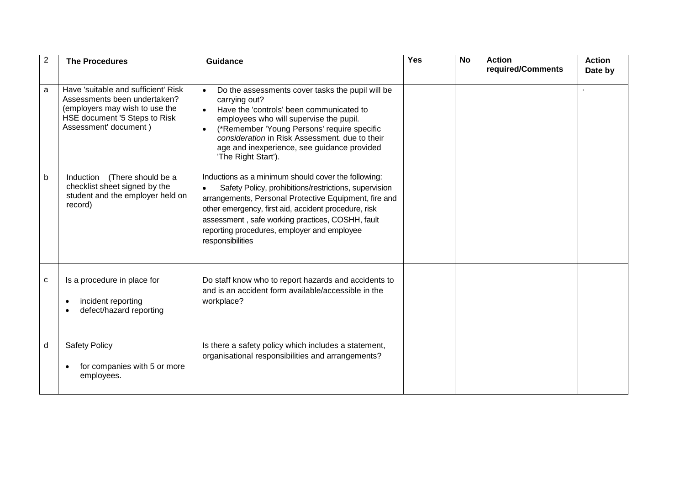| $\overline{2}$ | <b>The Procedures</b>                                                                                                                                           | <b>Guidance</b>                                                                                                                                                                                                                                                                                                                                      | Yes | <b>No</b> | <b>Action</b><br>required/Comments | <b>Action</b><br>Date by |
|----------------|-----------------------------------------------------------------------------------------------------------------------------------------------------------------|------------------------------------------------------------------------------------------------------------------------------------------------------------------------------------------------------------------------------------------------------------------------------------------------------------------------------------------------------|-----|-----------|------------------------------------|--------------------------|
| a              | Have 'suitable and sufficient' Risk<br>Assessments been undertaken?<br>(employers may wish to use the<br>HSE document '5 Steps to Risk<br>Assessment' document) | Do the assessments cover tasks the pupil will be<br>$\bullet$<br>carrying out?<br>Have the 'controls' been communicated to<br>employees who will supervise the pupil.<br>(*Remember 'Young Persons' require specific<br>consideration in Risk Assessment, due to their<br>age and inexperience, see guidance provided<br>'The Right Start').         |     |           |                                    |                          |
| b              | Induction<br>(There should be a<br>checklist sheet signed by the<br>student and the employer held on<br>record)                                                 | Inductions as a minimum should cover the following:<br>Safety Policy, prohibitions/restrictions, supervision<br>arrangements, Personal Protective Equipment, fire and<br>other emergency, first aid, accident procedure, risk<br>assessment, safe working practices, COSHH, fault<br>reporting procedures, employer and employee<br>responsibilities |     |           |                                    |                          |
| C              | Is a procedure in place for<br>incident reporting<br>$\bullet$<br>defect/hazard reporting                                                                       | Do staff know who to report hazards and accidents to<br>and is an accident form available/accessible in the<br>workplace?                                                                                                                                                                                                                            |     |           |                                    |                          |
| d              | <b>Safety Policy</b><br>for companies with 5 or more<br>employees.                                                                                              | Is there a safety policy which includes a statement,<br>organisational responsibilities and arrangements?                                                                                                                                                                                                                                            |     |           |                                    |                          |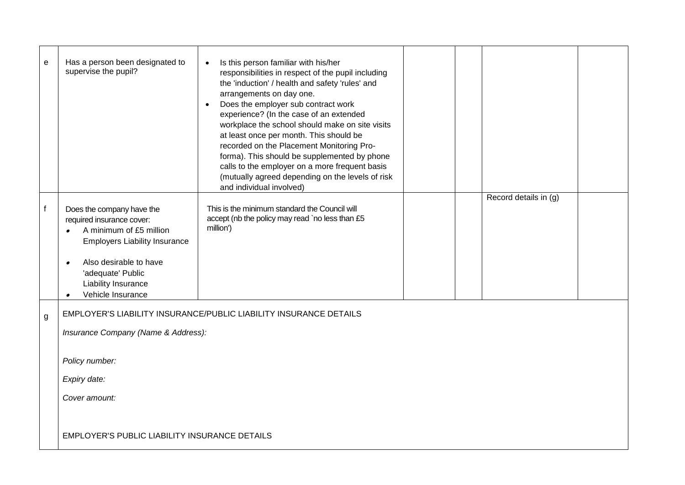| e | Has a person been designated to<br>supervise the pupil?                                                                                                                                                                                        | Is this person familiar with his/her<br>$\bullet$<br>responsibilities in respect of the pupil including<br>the 'induction' / health and safety 'rules' and<br>arrangements on day one.<br>Does the employer sub contract work<br>experience? (In the case of an extended<br>workplace the school should make on site visits<br>at least once per month. This should be<br>recorded on the Placement Monitoring Pro-<br>forma). This should be supplemented by phone<br>calls to the employer on a more frequent basis<br>(mutually agreed depending on the levels of risk<br>and individual involved) |  |                       |  |
|---|------------------------------------------------------------------------------------------------------------------------------------------------------------------------------------------------------------------------------------------------|-------------------------------------------------------------------------------------------------------------------------------------------------------------------------------------------------------------------------------------------------------------------------------------------------------------------------------------------------------------------------------------------------------------------------------------------------------------------------------------------------------------------------------------------------------------------------------------------------------|--|-----------------------|--|
| f | Does the company have the<br>required insurance cover:<br>A minimum of £5 million<br><b>Employers Liability Insurance</b><br>Also desirable to have<br>$\bullet$<br>'adequate' Public<br>Liability Insurance<br>Vehicle Insurance<br>$\bullet$ | This is the minimum standard the Council will<br>accept (nb the policy may read `no less than £5<br>million')                                                                                                                                                                                                                                                                                                                                                                                                                                                                                         |  | Record details in (g) |  |
| g | Insurance Company (Name & Address):<br>Policy number:                                                                                                                                                                                          | EMPLOYER'S LIABILITY INSURANCE/PUBLIC LIABILITY INSURANCE DETAILS                                                                                                                                                                                                                                                                                                                                                                                                                                                                                                                                     |  |                       |  |
|   | Expiry date:                                                                                                                                                                                                                                   |                                                                                                                                                                                                                                                                                                                                                                                                                                                                                                                                                                                                       |  |                       |  |
|   | Cover amount:                                                                                                                                                                                                                                  |                                                                                                                                                                                                                                                                                                                                                                                                                                                                                                                                                                                                       |  |                       |  |
|   | <b>EMPLOYER'S PUBLIC LIABILITY INSURANCE DETAILS</b>                                                                                                                                                                                           |                                                                                                                                                                                                                                                                                                                                                                                                                                                                                                                                                                                                       |  |                       |  |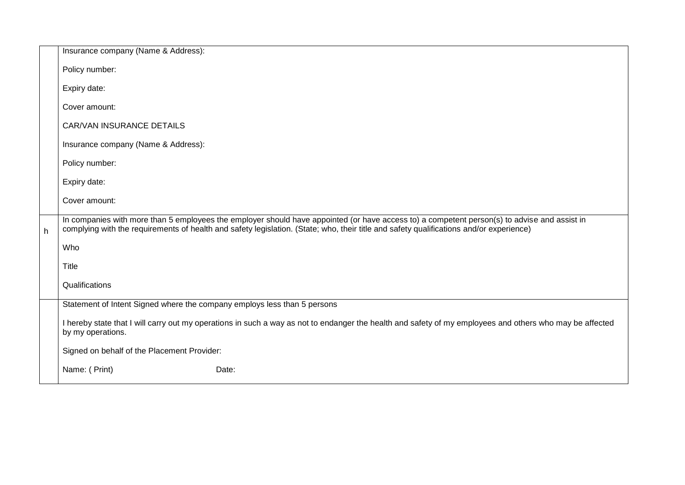|   | Insurance company (Name & Address):                                                                                                                                                                                                                                                     |
|---|-----------------------------------------------------------------------------------------------------------------------------------------------------------------------------------------------------------------------------------------------------------------------------------------|
|   | Policy number:                                                                                                                                                                                                                                                                          |
|   | Expiry date:                                                                                                                                                                                                                                                                            |
|   | Cover amount:                                                                                                                                                                                                                                                                           |
|   | CAR/VAN INSURANCE DETAILS                                                                                                                                                                                                                                                               |
|   | Insurance company (Name & Address):                                                                                                                                                                                                                                                     |
|   | Policy number:                                                                                                                                                                                                                                                                          |
|   | Expiry date:                                                                                                                                                                                                                                                                            |
|   | Cover amount:                                                                                                                                                                                                                                                                           |
| h | In companies with more than 5 employees the employer should have appointed (or have access to) a competent person(s) to advise and assist in<br>complying with the requirements of health and safety legislation. (State; who, their title and safety qualifications and/or experience) |
|   | Who                                                                                                                                                                                                                                                                                     |
|   | <b>Title</b>                                                                                                                                                                                                                                                                            |
|   | Qualifications                                                                                                                                                                                                                                                                          |
|   |                                                                                                                                                                                                                                                                                         |
|   | Statement of Intent Signed where the company employs less than 5 persons                                                                                                                                                                                                                |
|   | I hereby state that I will carry out my operations in such a way as not to endanger the health and safety of my employees and others who may be affected<br>by my operations.                                                                                                           |
|   | Signed on behalf of the Placement Provider:                                                                                                                                                                                                                                             |
|   | Name: ( Print)<br>Date:                                                                                                                                                                                                                                                                 |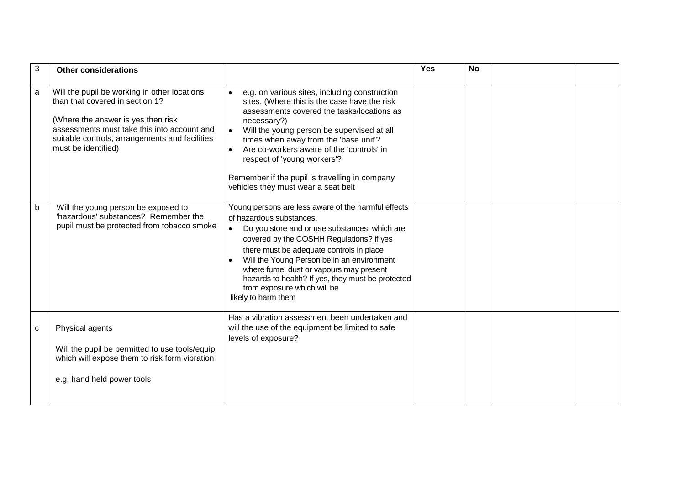| 3 | <b>Other considerations</b>                                                                                                                                                                                                                   |                                                                                                                                                                                                                                                                                                                                                                                                                                           | <b>Yes</b> | <b>No</b> |  |
|---|-----------------------------------------------------------------------------------------------------------------------------------------------------------------------------------------------------------------------------------------------|-------------------------------------------------------------------------------------------------------------------------------------------------------------------------------------------------------------------------------------------------------------------------------------------------------------------------------------------------------------------------------------------------------------------------------------------|------------|-----------|--|
| a | Will the pupil be working in other locations<br>than that covered in section 1?<br>(Where the answer is yes then risk<br>assessments must take this into account and<br>suitable controls, arrangements and facilities<br>must be identified) | e.g. on various sites, including construction<br>sites. (Where this is the case have the risk<br>assessments covered the tasks/locations as<br>necessary?)<br>Will the young person be supervised at all<br>times when away from the 'base unit'?<br>Are co-workers aware of the 'controls' in<br>respect of 'young workers'?<br>Remember if the pupil is travelling in company<br>vehicles they must wear a seat belt                    |            |           |  |
| b | Will the young person be exposed to<br>'hazardous' substances? Remember the<br>pupil must be protected from tobacco smoke                                                                                                                     | Young persons are less aware of the harmful effects<br>of hazardous substances.<br>Do you store and or use substances, which are<br>$\bullet$<br>covered by the COSHH Regulations? if yes<br>there must be adequate controls in place<br>Will the Young Person be in an environment<br>where fume, dust or vapours may present<br>hazards to health? If yes, they must be protected<br>from exposure which will be<br>likely to harm them |            |           |  |
| C | Physical agents<br>Will the pupil be permitted to use tools/equip<br>which will expose them to risk form vibration<br>e.g. hand held power tools                                                                                              | Has a vibration assessment been undertaken and<br>will the use of the equipment be limited to safe<br>levels of exposure?                                                                                                                                                                                                                                                                                                                 |            |           |  |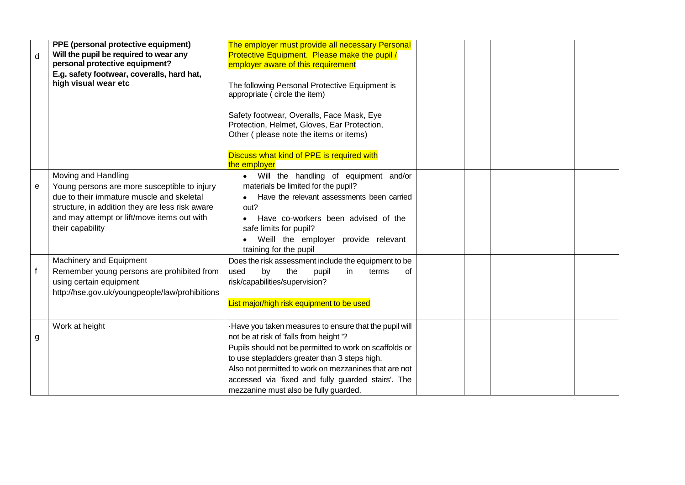| d            | PPE (personal protective equipment)<br>Will the pupil be required to wear any<br>personal protective equipment?<br>E.g. safety footwear, coveralls, hard hat,<br>high visual wear etc                                                  | The employer must provide all necessary Personal<br>Protective Equipment. Please make the pupil /<br>employer aware of this requirement<br>The following Personal Protective Equipment is<br>appropriate (circle the item)<br>Safety footwear, Overalls, Face Mask, Eye<br>Protection, Helmet, Gloves, Ear Protection,<br>Other (please note the items or items)    |  |  |
|--------------|----------------------------------------------------------------------------------------------------------------------------------------------------------------------------------------------------------------------------------------|---------------------------------------------------------------------------------------------------------------------------------------------------------------------------------------------------------------------------------------------------------------------------------------------------------------------------------------------------------------------|--|--|
|              |                                                                                                                                                                                                                                        | Discuss what kind of PPE is required with<br>the employer                                                                                                                                                                                                                                                                                                           |  |  |
| e            | Moving and Handling<br>Young persons are more susceptible to injury<br>due to their immature muscle and skeletal<br>structure, in addition they are less risk aware<br>and may attempt or lift/move items out with<br>their capability | • Will the handling of equipment and/or<br>materials be limited for the pupil?<br>Have the relevant assessments been carried<br>out?<br>Have co-workers been advised of the<br>safe limits for pupil?<br>Weill the employer provide relevant<br>training for the pupil                                                                                              |  |  |
| $\mathbf{f}$ | Machinery and Equipment<br>Remember young persons are prohibited from<br>using certain equipment<br>http://hse.gov.uk/youngpeople/law/prohibitions                                                                                     | Does the risk assessment include the equipment to be<br>used<br>by<br>the<br>in<br>pupil<br>terms<br>of<br>risk/capabilities/supervision?<br>List major/high risk equipment to be used                                                                                                                                                                              |  |  |
| g            | Work at height                                                                                                                                                                                                                         | -Have you taken measures to ensure that the pupil will<br>not be at risk of 'falls from height'?<br>Pupils should not be permitted to work on scaffolds or<br>to use stepladders greater than 3 steps high.<br>Also not permitted to work on mezzanines that are not<br>accessed via 'fixed and fully guarded stairs'. The<br>mezzanine must also be fully guarded. |  |  |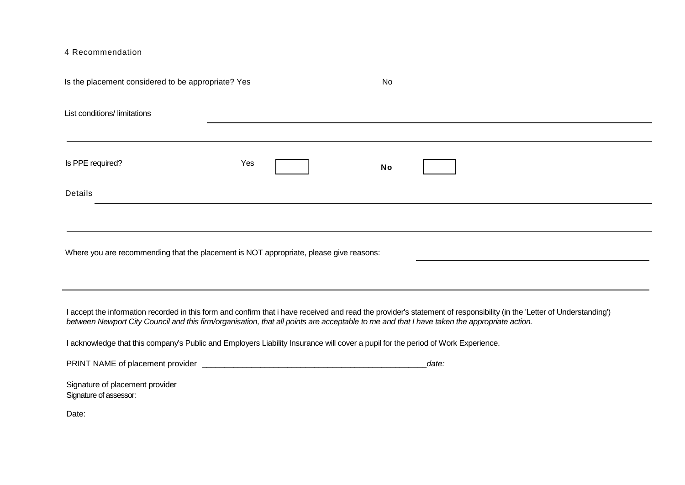4 Recommendation

| Is the placement considered to be appropriate? Yes |                                                                                        | <b>No</b>                                                                                                                                                                                                                                                                                                             |  |
|----------------------------------------------------|----------------------------------------------------------------------------------------|-----------------------------------------------------------------------------------------------------------------------------------------------------------------------------------------------------------------------------------------------------------------------------------------------------------------------|--|
| List conditions/limitations                        |                                                                                        |                                                                                                                                                                                                                                                                                                                       |  |
|                                                    |                                                                                        |                                                                                                                                                                                                                                                                                                                       |  |
| Is PPE required?                                   | Yes                                                                                    | <b>No</b>                                                                                                                                                                                                                                                                                                             |  |
| Details                                            |                                                                                        |                                                                                                                                                                                                                                                                                                                       |  |
|                                                    |                                                                                        |                                                                                                                                                                                                                                                                                                                       |  |
|                                                    | Where you are recommending that the placement is NOT appropriate, please give reasons: |                                                                                                                                                                                                                                                                                                                       |  |
|                                                    |                                                                                        |                                                                                                                                                                                                                                                                                                                       |  |
|                                                    |                                                                                        |                                                                                                                                                                                                                                                                                                                       |  |
|                                                    |                                                                                        | I accept the information recorded in this form and confirm that i have received and read the provider's statement of responsibility (in the 'Letter of Understanding')<br>between Newport City Council and this firm/organisation, that all points are acceptable to me and that I have taken the appropriate action. |  |
|                                                    |                                                                                        | I acknowledge that this company's Public and Employers Liability Insurance will cover a pupil for the period of Work Experience.                                                                                                                                                                                      |  |
|                                                    |                                                                                        | date:                                                                                                                                                                                                                                                                                                                 |  |
| Signature of placement provider                    |                                                                                        |                                                                                                                                                                                                                                                                                                                       |  |
| Signature of assessor:                             |                                                                                        |                                                                                                                                                                                                                                                                                                                       |  |